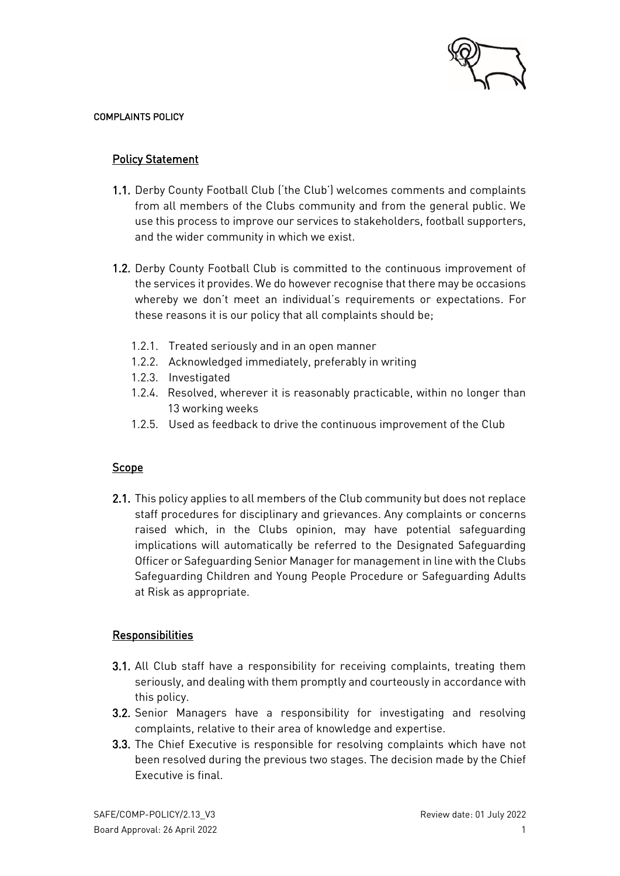

#### COMPLAINTS POLICY

## Policy Statement

- 1.1. Derby County Football Club ('the Club') welcomes comments and complaints from all members of the Clubs community and from the general public. We use this process to improve our services to stakeholders, football supporters, and the wider community in which we exist.
- 1.2. Derby County Football Club is committed to the continuous improvement of the services it provides. We do however recognise that there may be occasions whereby we don't meet an individual's requirements or expectations. For these reasons it is our policy that all complaints should be;
	- 1.2.1. Treated seriously and in an open manner
	- 1.2.2. Acknowledged immediately, preferably in writing
	- 1.2.3. Investigated
	- 1.2.4. Resolved, wherever it is reasonably practicable, within no longer than 13 working weeks
	- 1.2.5. Used as feedback to drive the continuous improvement of the Club

### **Scope**

2.1. This policy applies to all members of the Club community but does not replace staff procedures for disciplinary and grievances. Any complaints or concerns raised which, in the Clubs opinion, may have potential safeguarding implications will automatically be referred to the Designated Safeguarding Officer or Safeguarding Senior Manager for management in line with the Clubs Safeguarding Children and Young People Procedure or Safeguarding Adults at Risk as appropriate.

#### Responsibilities

- 3.1. All Club staff have a responsibility for receiving complaints, treating them seriously, and dealing with them promptly and courteously in accordance with this policy.
- 3.2. Senior Managers have a responsibility for investigating and resolving complaints, relative to their area of knowledge and expertise.
- 3.3. The Chief Executive is responsible for resolving complaints which have not been resolved during the previous two stages. The decision made by the Chief Executive is final.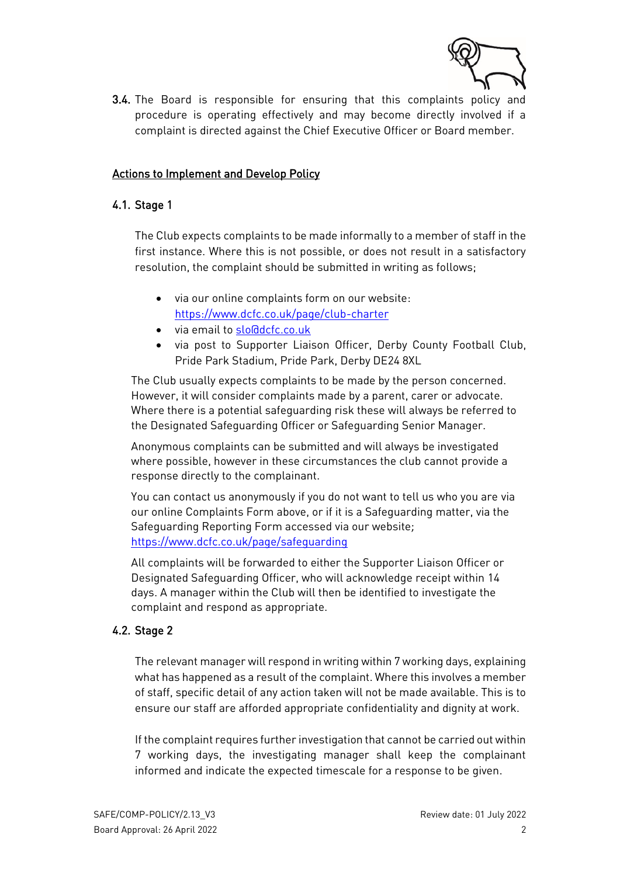

3.4. The Board is responsible for ensuring that this complaints policy and procedure is operating effectively and may become directly involved if a complaint is directed against the Chief Executive Officer or Board member.

#### Actions to Implement and Develop Policy

#### 4.1. Stage 1

The Club expects complaints to be made informally to a member of staff in the first instance. Where this is not possible, or does not result in a satisfactory resolution, the complaint should be submitted in writing as follows;

- via our online complaints form on our website: <https://www.dcfc.co.uk/page/club-charter>
- via email to [slo@dcfc.co.uk](mailto:slo@dcfc.co.uk)
- via post to Supporter Liaison Officer, Derby County Football Club, Pride Park Stadium, Pride Park, Derby DE24 8XL

The Club usually expects complaints to be made by the person concerned. However, it will consider complaints made by a parent, carer or advocate. Where there is a potential safeguarding risk these will always be referred to the Designated Safeguarding Officer or Safeguarding Senior Manager.

Anonymous complaints can be submitted and will always be investigated where possible, however in these circumstances the club cannot provide a response directly to the complainant.

You can contact us anonymously if you do not want to tell us who you are via our online Complaints Form above, or if it is a Safeguarding matter, via the Safeguarding Reporting Form accessed via our website; <https://www.dcfc.co.uk/page/safeguarding>

All complaints will be forwarded to either the Supporter Liaison Officer or Designated Safeguarding Officer, who will acknowledge receipt within 14 days. A manager within the Club will then be identified to investigate the complaint and respond as appropriate.

### 4.2. Stage 2

The relevant manager will respond in writing within 7 working days, explaining what has happened as a result of the complaint. Where this involves a member of staff, specific detail of any action taken will not be made available. This is to ensure our staff are afforded appropriate confidentiality and dignity at work.

If the complaint requires further investigation that cannot be carried out within 7 working days, the investigating manager shall keep the complainant informed and indicate the expected timescale for a response to be given.